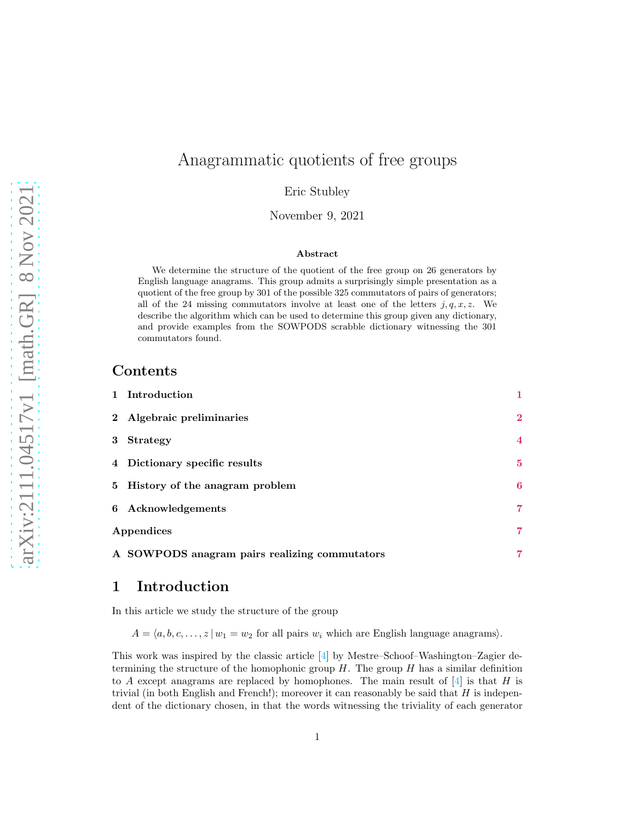# Anagrammatic quotients of free groups

Eric Stubley

November 9, 2021

#### Abstract

We determine the structure of the quotient of the free group on 26 generators by English language anagrams. This group admits a surprisingly simple presentation as a quotient of the free group by 301 of the possible 325 commutators of pairs of generators; all of the 24 missing commutators involve at least one of the letters  $j, q, x, z$ . We describe the algorithm which can be used to determine this group given any dictionary, and provide examples from the SOWPODS scrabble dictionary witnessing the 301 commutators found.

#### Contents

| 1 Introduction                                | $\mathbf{1}$   |
|-----------------------------------------------|----------------|
| 2 Algebraic preliminaries                     | $\mathbf{2}$   |
| 3 Strategy                                    | $\overline{4}$ |
| 4 Dictionary specific results                 | $\bf{5}$       |
| 5 History of the anagram problem              | 6              |
| 6 Acknowledgements                            | 7              |
| Appendices                                    | 7              |
| A SOWPODS anagram pairs realizing commutators | 7              |

#### <span id="page-0-0"></span>1 Introduction

In this article we study the structure of the group

 $A = \langle a, b, c, \ldots, z | w_1 = w_2$  for all pairs  $w_i$  which are English language anagrams).

This work was inspired by the classic article [\[4\]](#page-13-0) by Mestre–Schoof–Washington–Zagier determining the structure of the homophonic group  $H$ . The group  $H$  has a similar definition to A except anagrams are replaced by homophones. The main result of  $[4]$  is that H is trivial (in both English and French!); moreover it can reasonably be said that  $H$  is independent of the dictionary chosen, in that the words witnessing the triviality of each generator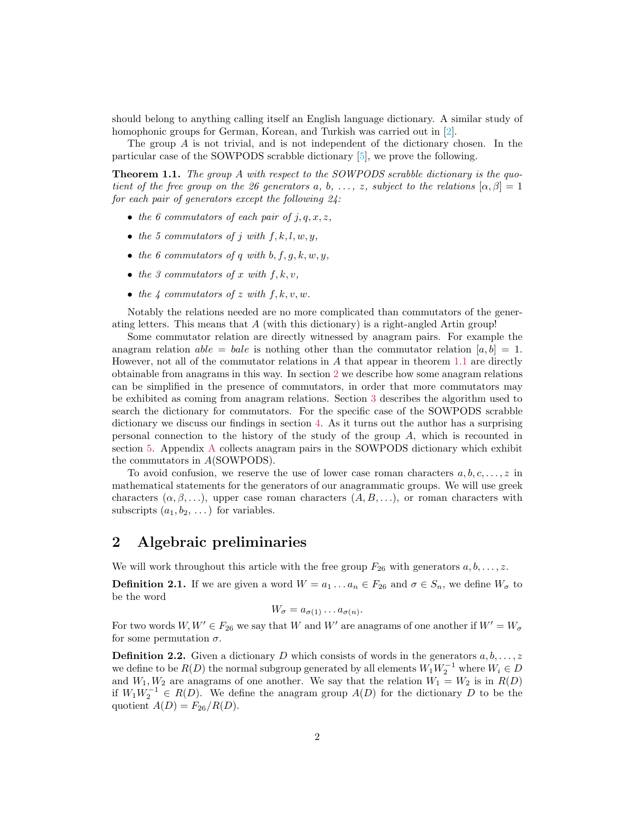should belong to anything calling itself an English language dictionary. A similar study of homophonic groups for German, Korean, and Turkish was carried out in [\[2\]](#page-13-1).

<span id="page-1-1"></span>The group A is not trivial, and is not independent of the dictionary chosen. In the particular case of the SOWPODS scrabble dictionary [\[5\]](#page-13-2), we prove the following.

Theorem 1.1. *The group* A *with respect to the SOWPODS scrabble dictionary is the quotient of the free group on the 26 generators* a, b, ..., z, subject to the relations  $[\alpha, \beta] = 1$ *for each pair of generators except the following 24:*

- *the 6 commutators of each pair of*  $j, q, x, z$ *,*
- *the 5 commutators of*  $j$  *with*  $f, k, l, w, y$ ,
- *the 6 commutators of q with*  $b, f, g, k, w, y$ ,
- *the 3 commutators of*  $x$  *with*  $f, k, v$ ,
- *the* 4 *commutators of* z *with*  $f, k, v, w$ *.*

Notably the relations needed are no more complicated than commutators of the generating letters. This means that  $A$  (with this dictionary) is a right-angled Artin group!

Some commutator relation are directly witnessed by anagram pairs. For example the anagram relation  $able = bale$  is nothing other than the commutator relation  $[a, b] = 1$ . However, not all of the commutator relations in A that appear in theorem [1.1](#page-1-1) are directly obtainable from anagrams in this way. In section [2](#page-1-0) we describe how some anagram relations can be simplified in the presence of commutators, in order that more commutators may be exhibited as coming from anagram relations. Section [3](#page-3-0) describes the algorithm used to search the dictionary for commutators. For the specific case of the SOWPODS scrabble dictionary we discuss our findings in section [4.](#page-4-0) As it turns out the author has a surprising personal connection to the history of the study of the group A, which is recounted in section [5.](#page-5-0) Appendix [A](#page-6-2) collects anagram pairs in the SOWPODS dictionary which exhibit the commutators in A(SOWPODS).

To avoid confusion, we reserve the use of lower case roman characters  $a, b, c, \ldots, z$  in mathematical statements for the generators of our anagrammatic groups. We will use greek characters  $(\alpha, \beta, \ldots)$ , upper case roman characters  $(A, B, \ldots)$ , or roman characters with subscripts  $(a_1, b_2, \ldots)$  for variables.

#### <span id="page-1-0"></span>2 Algebraic preliminaries

We will work throughout this article with the free group  $F_{26}$  with generators  $a, b, \ldots, z$ .

**Definition 2.1.** If we are given a word  $W = a_1 \dots a_n \in F_{26}$  and  $\sigma \in S_n$ , we define  $W_{\sigma}$  to be the word

$$
W_{\sigma} = a_{\sigma(1)} \dots a_{\sigma(n)}.
$$

For two words  $W, W' \in F_{26}$  we say that W and W' are anagrams of one another if  $W' = W_{\sigma}$ for some permutation  $\sigma$ .

**Definition 2.2.** Given a dictionary D which consists of words in the generators  $a, b, \ldots, z$ we define to be  $R(D)$  the normal subgroup generated by all elements  $W_1W_2^{-1}$  where  $W_i \in D$ and  $W_1, W_2$  are anagrams of one another. We say that the relation  $W_1 = W_2$  is in  $R(D)$ if  $W_1W_2^{-1}$  ∈  $R(D)$ . We define the anagram group  $A(D)$  for the dictionary D to be the quotient  $A(D) = F_{26}/R(D)$ .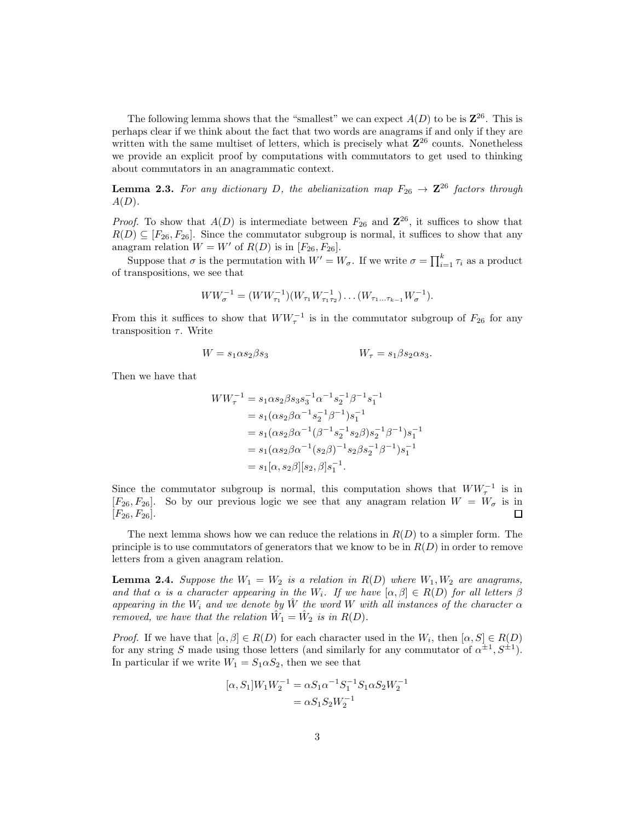The following lemma shows that the "smallest" we can expect  $A(D)$  to be is  $\mathbb{Z}^{26}$ . This is perhaps clear if we think about the fact that two words are anagrams if and only if they are written with the same multiset of letters, which is precisely what  $\mathbb{Z}^{26}$  counts. Nonetheless we provide an explicit proof by computations with commutators to get used to thinking about commutators in an anagrammatic context.

**Lemma 2.3.** For any dictionary D, the abelianization map  $F_{26} \rightarrow \mathbb{Z}^{26}$  factors through A(D)*.*

*Proof.* To show that  $A(D)$  is intermediate between  $F_{26}$  and  $\mathbb{Z}^{26}$ , it suffices to show that  $R(D) \subseteq [F_{26}, F_{26}]$ . Since the commutator subgroup is normal, it suffices to show that any anagram relation  $W = W'$  of  $R(D)$  is in  $[F_{26}, F_{26}]$ .

Suppose that  $\sigma$  is the permutation with  $W' = W_{\sigma}$ . If we write  $\sigma = \prod_{i=1}^{k} \tau_i$  as a product of transpositions, we see that

$$
WW_{\sigma}^{-1} = (WW_{\tau_1}^{-1})(W_{\tau_1}W_{\tau_1\tau_2}^{-1})\dots(W_{\tau_1\dots\tau_{k-1}}W_{\sigma}^{-1}).
$$

From this it suffices to show that  $WW_{\tau}^{-1}$  is in the commutator subgroup of  $F_{26}$  for any transposition  $\tau$ . Write

$$
W = s_1 \alpha s_2 \beta s_3 \qquad \qquad W_\tau = s_1 \beta s_2 \alpha s_3.
$$

Then we have that

$$
WW_{\tau}^{-1} = s_1 \alpha s_2 \beta s_3 s_3^{-1} \alpha^{-1} s_2^{-1} \beta^{-1} s_1^{-1}
$$
  
=  $s_1 (\alpha s_2 \beta \alpha^{-1} s_2^{-1} \beta^{-1}) s_1^{-1}$   
=  $s_1 (\alpha s_2 \beta \alpha^{-1} (\beta^{-1} s_2^{-1} s_2 \beta) s_2^{-1} \beta^{-1}) s_1^{-1}$   
=  $s_1 (\alpha s_2 \beta \alpha^{-1} (s_2 \beta)^{-1} s_2 \beta s_2^{-1} \beta^{-1}) s_1^{-1}$   
=  $s_1 [\alpha, s_2 \beta] [s_2, \beta] s_1^{-1}.$ 

Since the commutator subgroup is normal, this computation shows that  $WW_\tau^{-1}$  is in  $[F_{26}, F_{26}]$ . So by our previous logic we see that any anagram relation  $W = W_{\sigma}$  is in  $[F_{26}, F_{26}].$  $\Box$ 

The next lemma shows how we can reduce the relations in  $R(D)$  to a simpler form. The principle is to use commutators of generators that we know to be in  $R(D)$  in order to remove letters from a given anagram relation.

<span id="page-2-0"></span>**Lemma 2.4.** Suppose the  $W_1 = W_2$  is a relation in  $R(D)$  where  $W_1, W_2$  are anagrams, *and that*  $\alpha$  *is a character appearing in the*  $W_i$ *. If we have*  $[\alpha, \beta] \in R(D)$  *for all letters*  $\beta$ *appearing in the*  $W_i$  *and we denote by*  $\hat{W}$  *the word* W *with all instances of the character*  $\alpha$ *removed, we have that the relation*  $\hat{W}_1 = \hat{W}_2$  *is in R(D)*.

*Proof.* If we have that  $[\alpha, \beta] \in R(D)$  for each character used in the  $W_i$ , then  $[\alpha, S] \in R(D)$ for any string S made using those letters (and similarly for any commutator of  $\alpha^{\pm 1}$ ,  $S^{\pm 1}$ ). In particular if we write  $W_1 = S_1 \alpha S_2$ , then we see that

$$
\begin{aligned} [\alpha,S_1]W_1W_2^{-1} &= \alpha S_1\alpha^{-1}S_1^{-1}S_1\alpha S_2W_2^{-1} \\ &= \alpha S_1S_2W_2^{-1} \end{aligned}
$$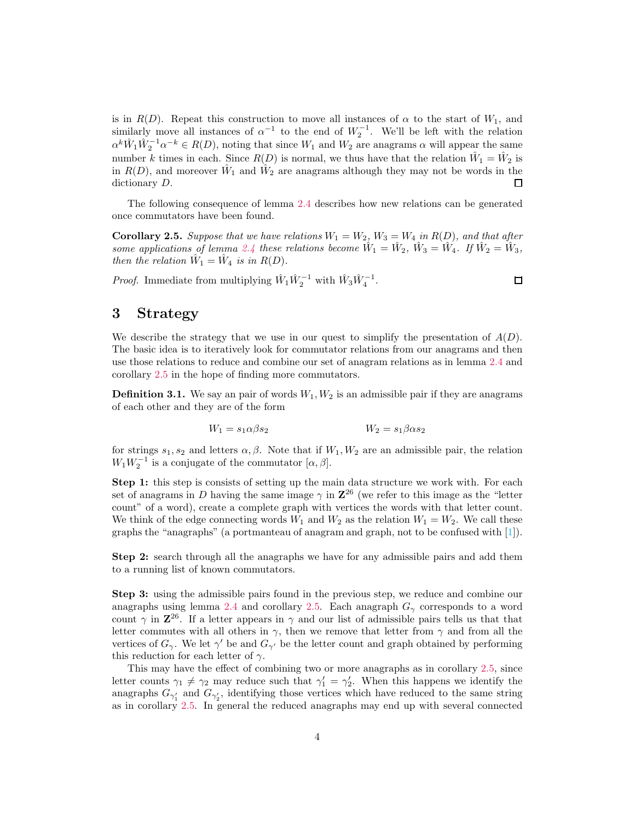is in  $R(D)$ . Repeat this construction to move all instances of  $\alpha$  to the start of  $W_1$ , and similarly move all instances of  $\alpha^{-1}$  to the end of  $W_2^{-1}$ . We'll be left with the relation  $\alpha^k \hat{W}_1 \hat{W}_2^{-1} \alpha^{-k} \in R(D)$ , noting that since  $W_1$  and  $W_2$  are anagrams  $\alpha$  will appear the same number k times in each. Since  $R(D)$  is normal, we thus have that the relation  $\hat{W}_1 = \hat{W}_2$  is in  $R(D)$ , and moreover  $\hat{W}_1$  and  $\hat{W}_2$  are anagrams although they may not be words in the dictionary D.  $\Box$ 

<span id="page-3-1"></span>The following consequence of lemma [2.4](#page-2-0) describes how new relations can be generated once commutators have been found.

**Corollary 2.5.** Suppose that we have relations  $W_1 = W_2$ ,  $W_3 = W_4$  in  $R(D)$ , and that after *some applications of lemma [2.4](#page-2-0) these relations become*  $\hat{W}_1 = \hat{W}_2$ ,  $\hat{W}_3 = \hat{W}_4$ . If  $\hat{W}_2 = \hat{W}_3$ , *then the relation*  $\hat{W}_1 = \hat{W}_4$  *is in*  $R(D)$ *.* 

*Proof.* Immediate from multiplying  $\hat{W}_1 \hat{W}_2^{-1}$  with  $\hat{W}_3 \hat{W}_4^{-1}$ .

#### <span id="page-3-0"></span>3 Strategy

We describe the strategy that we use in our quest to simplify the presentation of  $A(D)$ . The basic idea is to iteratively look for commutator relations from our anagrams and then use those relations to reduce and combine our set of anagram relations as in lemma [2.4](#page-2-0) and corollary [2.5](#page-3-1) in the hope of finding more commutators.

**Definition 3.1.** We say an pair of words  $W_1, W_2$  is an admissible pair if they are anagrams of each other and they are of the form

$$
W_1 = s_1 \alpha \beta s_2 \qquad \qquad W_2 = s_1 \beta \alpha s_2
$$

for strings  $s_1, s_2$  and letters  $\alpha, \beta$ . Note that if  $W_1, W_2$  are an admissible pair, the relation  $W_1W_2^{-1}$  is a conjugate of the commutator  $[\alpha, \beta]$ .

Step 1: this step is consists of setting up the main data structure we work with. For each set of anagrams in D having the same image  $\gamma$  in  $\mathbb{Z}^{26}$  (we refer to this image as the "letter count" of a word), create a complete graph with vertices the words with that letter count. We think of the edge connecting words  $W_1$  and  $W_2$  as the relation  $W_1 = W_2$ . We call these graphs the "anagraphs" (a portmanteau of anagram and graph, not to be confused with [\[1\]](#page-13-3)).

Step 2: search through all the anagraphs we have for any admissible pairs and add them to a running list of known commutators.

Step 3: using the admissible pairs found in the previous step, we reduce and combine our anagraphs using lemma [2.4](#page-2-0) and corollary [2.5.](#page-3-1) Each anagraph  $G<sub>\gamma</sub>$  corresponds to a word count  $\gamma$  in  $\mathbb{Z}^{26}$ . If a letter appears in  $\gamma$  and our list of admissible pairs tells us that that letter commutes with all others in  $\gamma$ , then we remove that letter from  $\gamma$  and from all the vertices of  $G_\gamma$ . We let  $\gamma'$  be and  $G_{\gamma'}$  be the letter count and graph obtained by performing this reduction for each letter of  $\gamma$ .

This may have the effect of combining two or more anagraphs as in corollary [2.5,](#page-3-1) since letter counts  $\gamma_1 \neq \gamma_2$  may reduce such that  $\gamma_1' = \gamma_2'$ . When this happens we identify the anagraphs  $G_{\gamma'_1}$  and  $G_{\gamma'_2}$ , identifying those vertices which have reduced to the same string as in corollary [2.5.](#page-3-1) In general the reduced anagraphs may end up with several connected

 $\Box$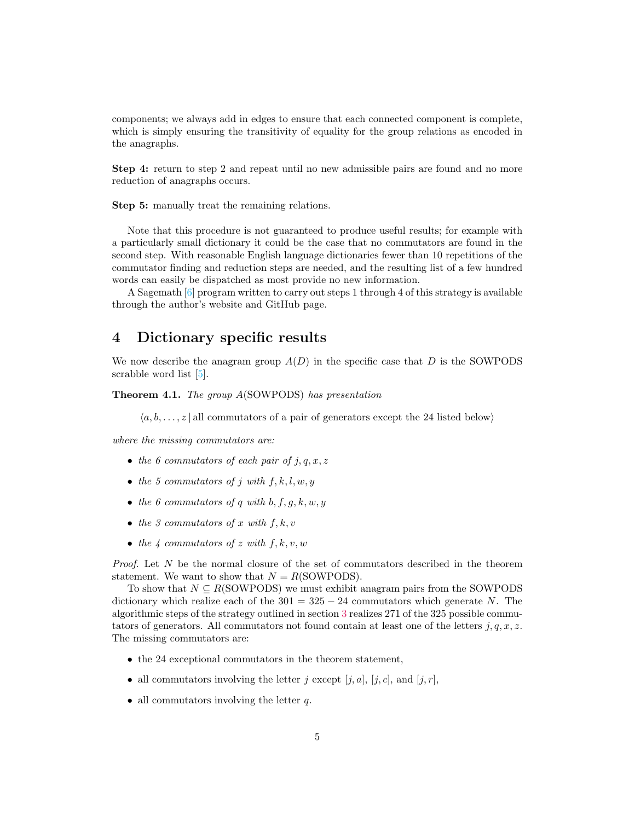components; we always add in edges to ensure that each connected component is complete, which is simply ensuring the transitivity of equality for the group relations as encoded in the anagraphs.

Step 4: return to step 2 and repeat until no new admissible pairs are found and no more reduction of anagraphs occurs.

Step 5: manually treat the remaining relations.

Note that this procedure is not guaranteed to produce useful results; for example with a particularly small dictionary it could be the case that no commutators are found in the second step. With reasonable English language dictionaries fewer than 10 repetitions of the commutator finding and reduction steps are needed, and the resulting list of a few hundred words can easily be dispatched as most provide no new information.

A Sagemath [\[6](#page-13-4)] program written to carry out steps 1 through 4 of this strategy is available through the author's website and GitHub page.

#### <span id="page-4-0"></span>4 Dictionary specific results

We now describe the anagram group  $A(D)$  in the specific case that D is the SOWPODS scrabble word list [\[5\]](#page-13-2).

Theorem 4.1. *The group* A(SOWPODS) *has presentation*

 $\langle a, b, \ldots, z \rangle$  all commutators of a pair of generators except the 24 listed below)

*where the missing commutators are:*

- *the 6 commutators of each pair of*  $j, q, x, z$
- *the 5 commutators of*  $j$  *with*  $f, k, l, w, y$
- *the 6 commutators of q with*  $b, f, g, k, w, y$
- *the 3 commutators of* x *with*  $f, k, v$
- *the 4 commutators of*  $z$  *with*  $f, k, v, w$

*Proof.* Let N be the normal closure of the set of commutators described in the theorem statement. We want to show that  $N = R(SOWPODS)$ .

To show that  $N \subseteq R(SOWPODS)$  we must exhibit anagram pairs from the SOWPODS dictionary which realize each of the  $301 = 325 - 24$  commutators which generate N. The algorithmic steps of the strategy outlined in section [3](#page-3-0) realizes 271 of the 325 possible commutators of generators. All commutators not found contain at least one of the letters  $j, q, x, z$ . The missing commutators are:

- the 24 exceptional commutators in the theorem statement,
- all commutators involving the letter j except  $[j, a]$ ,  $[j, c]$ , and  $[j, r]$ ,
- all commutators involving the letter  $q$ .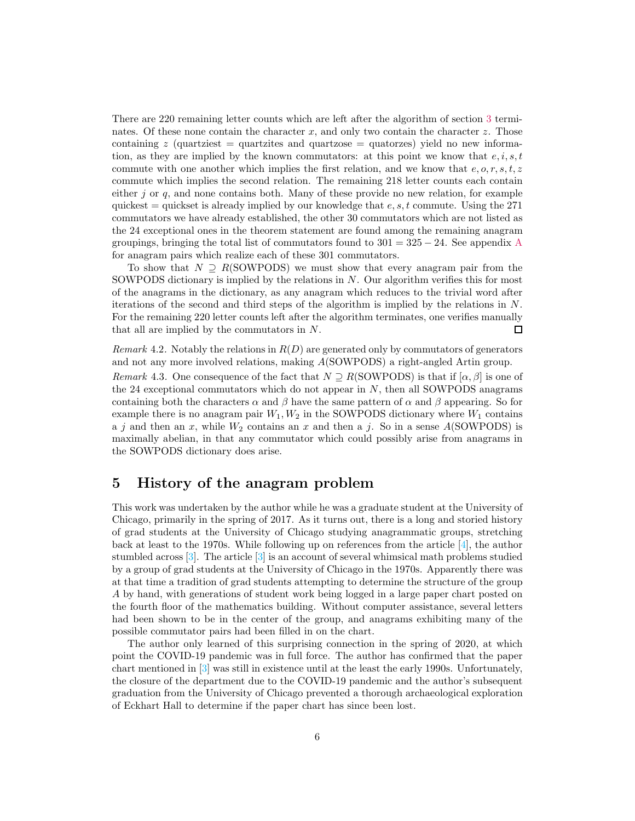There are 220 remaining letter counts which are left after the algorithm of section [3](#page-3-0) terminates. Of these none contain the character x, and only two contain the character z. Those containing z (quartziest  $=$  quartzites and quartzose  $=$  quatorzes) yield no new information, as they are implied by the known commutators: at this point we know that  $e, i, s, t$ commute with one another which implies the first relation, and we know that  $e, o, r, s, t, z$ commute which implies the second relation. The remaining 218 letter counts each contain either j or  $q$ , and none contains both. Many of these provide no new relation, for example quickest = quickset is already implied by our knowledge that  $e, s, t$  commute. Using the 271 commutators we have already established, the other 30 commutators which are not listed as the 24 exceptional ones in the theorem statement are found among the remaining anagram groupings, bringing the total list of commutators found to  $301 = 325 - 24$ . See appendix [A](#page-6-2) for anagram pairs which realize each of these 301 commutators.

To show that  $N \supseteq R(SOWPODS)$  we must show that every anagram pair from the SOWPODS dictionary is implied by the relations in  $N$ . Our algorithm verifies this for most of the anagrams in the dictionary, as any anagram which reduces to the trivial word after iterations of the second and third steps of the algorithm is implied by the relations in N. For the remaining 220 letter counts left after the algorithm terminates, one verifies manually that all are implied by the commutators in N.  $\Box$ 

*Remark* 4.2. Notably the relations in  $R(D)$  are generated only by commutators of generators and not any more involved relations, making A(SOWPODS) a right-angled Artin group. *Remark* 4.3. One consequence of the fact that  $N \supseteq R(SOWPODS)$  is that if  $[\alpha, \beta]$  is one of the 24 exceptional commutators which do not appear in  $N$ , then all SOWPODS anagrams containing both the characters  $\alpha$  and  $\beta$  have the same pattern of  $\alpha$  and  $\beta$  appearing. So for example there is no anagram pair  $W_1, W_2$  in the SOWPODS dictionary where  $W_1$  contains a j and then an x, while  $W_2$  contains an x and then a j. So in a sense A(SOWPODS) is maximally abelian, in that any commutator which could possibly arise from anagrams in the SOWPODS dictionary does arise.

#### <span id="page-5-0"></span>5 History of the anagram problem

This work was undertaken by the author while he was a graduate student at the University of Chicago, primarily in the spring of 2017. As it turns out, there is a long and storied history of grad students at the University of Chicago studying anagrammatic groups, stretching back at least to the 1970s. While following up on references from the article  $[4]$ , the author stumbled across  $[3]$ . The article  $[3]$  is an account of several whimsical math problems studied by a group of grad students at the University of Chicago in the 1970s. Apparently there was at that time a tradition of grad students attempting to determine the structure of the group A by hand, with generations of student work being logged in a large paper chart posted on the fourth floor of the mathematics building. Without computer assistance, several letters had been shown to be in the center of the group, and anagrams exhibiting many of the possible commutator pairs had been filled in on the chart.

The author only learned of this surprising connection in the spring of 2020, at which point the COVID-19 pandemic was in full force. The author has confirmed that the paper chart mentioned in [\[3\]](#page-13-5) was still in existence until at the least the early 1990s. Unfortunately, the closure of the department due to the COVID-19 pandemic and the author's subsequent graduation from the University of Chicago prevented a thorough archaeological exploration of Eckhart Hall to determine if the paper chart has since been lost.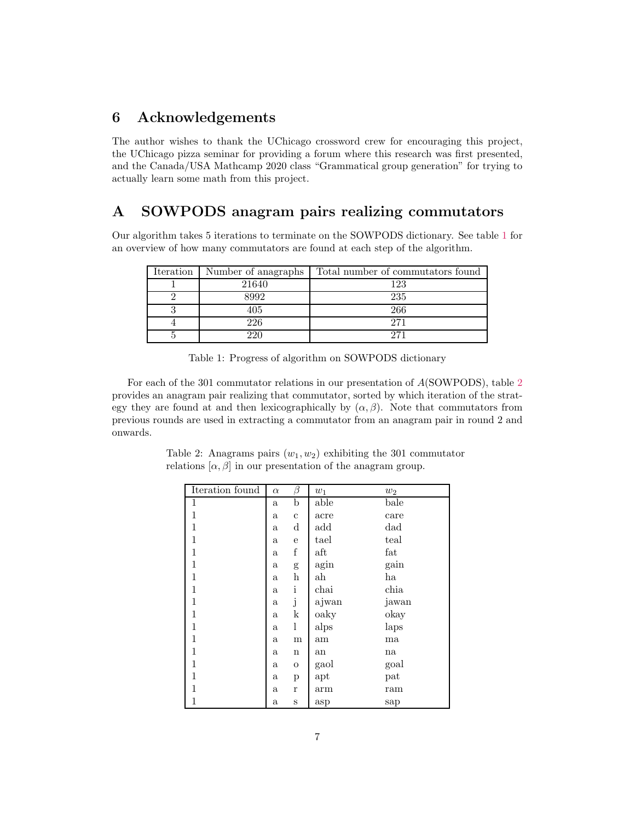### <span id="page-6-0"></span>6 Acknowledgements

The author wishes to thank the UChicago crossword crew for encouraging this project, the UChicago pizza seminar for providing a forum where this research was first presented, and the Canada/USA Mathcamp 2020 class "Grammatical group generation" for trying to actually learn some math from this project.

## <span id="page-6-2"></span><span id="page-6-1"></span>A SOWPODS anagram pairs realizing commutators

Our algorithm takes 5 iterations to terminate on the SOWPODS dictionary. See table [1](#page-6-3) for an overview of how many commutators are found at each step of the algorithm.

| Iteration | Number of anagraphs | Total number of commutators found |
|-----------|---------------------|-----------------------------------|
|           | 21640               | 123                               |
|           | 8992                | 235                               |
|           | 405                 | 266                               |
|           | 226                 | 271                               |
|           | າາດ                 | 271                               |

<span id="page-6-3"></span>

| Table 1: Progress of algorithm on SOWPODS dictionary |  |  |  |
|------------------------------------------------------|--|--|--|
|------------------------------------------------------|--|--|--|

<span id="page-6-4"></span>For each of the 301 commutator relations in our presentation of A(SOWPODS), table [2](#page-6-4) provides an anagram pair realizing that commutator, sorted by which iteration of the strategy they are found at and then lexicographically by  $(\alpha, \beta)$ . Note that commutators from previous rounds are used in extracting a commutator from an anagram pair in round 2 and onwards.

| Iteration found | $\alpha$     | β            | $w_1$                | $w_2$ |
|-----------------|--------------|--------------|----------------------|-------|
| 1               | $\mathbf{a}$ | b            | able                 | bale  |
| 1               | $\mathbf a$  | $\mathbf c$  | acre                 | care  |
| 1               | $\mathbf{a}$ | d            | add                  | dad   |
| 1               | $\mathbf a$  | $\mathbf e$  | tael                 | teal  |
| 1               | $\mathbf a$  | f            | $\operatorname{aft}$ | fat   |
| 1               | a            | g            | agin                 | gain  |
| 1               | $\mathbf{a}$ | h            | $_{\rm ah}$          | ha    |
| 1               | $\mathbf{a}$ | $\mathbf{i}$ | chai                 | chia  |
| 1               | $\mathbf{a}$ | j            | ajwan                | jawan |
| 1               | $\mathbf{a}$ | k            | oaky                 | okay  |
| 1               | $\mathbf{a}$ | 1            | alps                 | laps  |
| 1               | $\mathbf a$  | m            | am                   | ma    |
| 1               | $\mathbf{a}$ | $\mathbf n$  | an                   | na    |
| 1               | $\mathbf{a}$ | $\mathbf O$  | gaol                 | goal  |
| 1               | a            | р            | apt                  | pat   |
| 1               | $\mathbf{a}$ | r            | arm                  | ram   |
| 1               | $\mathbf a$  | S            | asp                  | sap   |

Table 2: Anagrams pairs  $(w_1, w_2)$  exhibiting the 301 commutator relations  $[\alpha, \beta]$  in our presentation of the anagram group.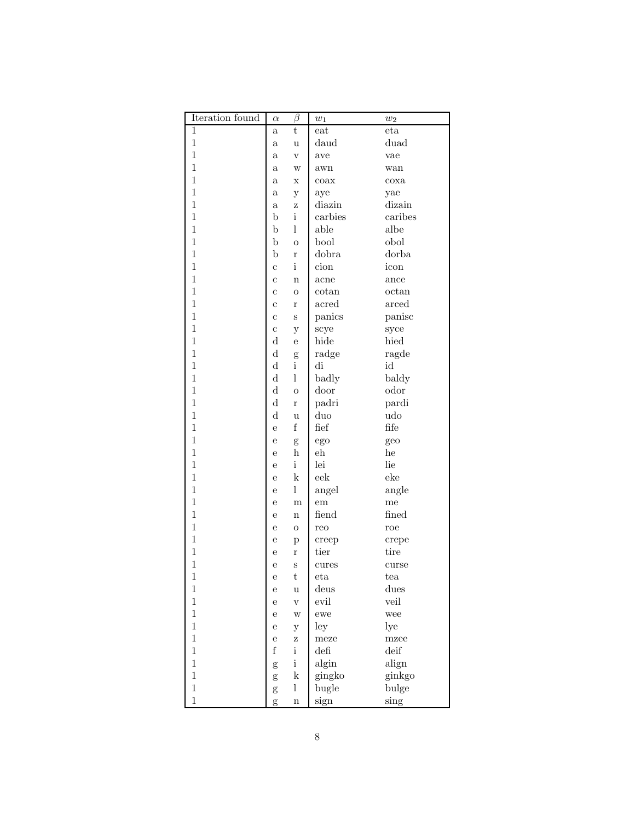| Iteration found | $\alpha$     | β                         | $w_1$                 | $w_2$    |
|-----------------|--------------|---------------------------|-----------------------|----------|
| 1               | $\mathbf{a}$ | t                         | eat                   | eta      |
| $\mathbf 1$     | $\mathbf{a}$ | u                         | daud                  | duad     |
| $\mathbf{1}$    | a            | $\mathbf V$               | ave                   | vae      |
| $\mathbf 1$     | a            | W                         | awn                   | wan      |
| $\mathbf 1$     | a            | Х                         | coax                  | $\cos a$ |
| $\mathbf 1$     | a            | у                         | aye                   | yae      |
| $\mathbf 1$     | $\mathbf{a}$ | Ζ                         | diazin                | dizain   |
| $\mathbf 1$     | b            | $\mathbf{i}$              | carbies               | caribes  |
| $\mathbf 1$     | b            | 1                         | able                  | albe     |
| $\mathbf{1}$    | b            | $\overline{O}$            | bool                  | obol     |
| $\mathbf{1}$    | b            | $\bf r$                   | dobra                 | dorba    |
| $\mathbf{1}$    | $\mathbf c$  | $\mathbf{i}$              | cion                  | icon     |
| $\mathbf{1}$    | $\mathbf c$  | $\mathbf n$               | acne                  | ance     |
| $\mathbf{1}$    | $\mathbf c$  | $\mathbf O$               | cotan                 | octan    |
| $\mathbf{1}$    | $\mathbf c$  | r                         | acred                 | arced    |
| $\mathbf{1}$    | $\mathbf c$  | S                         | panics                | panisc   |
| $\mathbf{1}$    | $\mathbf c$  | у                         | scye                  | syce     |
| $\mathbf{1}$    | $\mathbf d$  | $\mathbf e$               | hide                  | hied     |
| $\mathbf{1}$    | $\mathbf d$  | g                         | radge                 | ragde    |
| $\mathbf{1}$    | $\mathbf d$  | $\mathbf{i}$              | di                    | id       |
| $\mathbf{1}$    | $\mathbf d$  | $\mathbf{l}$              | badly                 | baldy    |
| $\mathbf{1}$    | $\mathbf d$  | $\overline{O}$            | door                  | odor     |
| $\mathbf{1}$    | $\mathbf d$  | $\bf r$                   | padri                 | pardi    |
| $\mathbf{1}$    | $\mathbf d$  | u                         | duo                   | udo      |
| $\mathbf{1}$    | e            | $\rm f$                   | $\operatorname{fief}$ | fife     |
| $\mathbf{1}$    | e            | g                         | ego                   | geo      |
| $\mathbf{1}$    | e            | $\boldsymbol{\mathrm{h}}$ | $_{\rm eh}$           | he       |
| $\mathbf{1}$    | e            | $\mathbf{i}$              | lei                   | lie      |
| $\mathbf{1}$    | e            | $\mathbf k$               | eek                   | eke      |
| $\mathbf{1}$    | e            | $\mathbf{l}$              | angel                 | angle    |
| $\mathbf{1}$    | e            | m                         | em                    | me       |
| $\mathbf{1}$    | e            | $\mathbf n$               | fiend                 | fined    |
| $\mathbf{1}$    | e            | $\mathbf O$               | reo                   | roe      |
| $\mathbf{1}$    | е            | p                         | creep                 | crepe    |
| $\mathbf{1}$    | е            | r                         | tier                  | tire     |
| $\mathbf{1}$    | e            | S                         | cures                 | curse    |
| $\,1$           | е            | t                         | eta                   | tea      |
| $\,1$           | е            | u                         | deus                  | dues     |
| $\overline{1}$  | е            | $\rm V$                   | evil                  | veil     |
| $\mathbf{1}$    | е            | W                         | ewe                   | wee      |
| $\mathbf{1}$    | е            | $\mathbf y$               | ley                   | lye      |
| $\mathbf{1}$    | е            | Z                         | meze                  | mzee     |
| $\overline{1}$  | $\rm f$      | $\mathbf{i}$              | $\operatorname{defi}$ | deif     |
| $\overline{1}$  | $\mathbf{g}$ | $\rm i$                   | algin                 | align    |
| $\overline{1}$  | g            | $\mathbf k$               | gingko                | ginkgo   |
| $\overline{1}$  | g            | l                         | bugle                 | bulge    |
| $\mathbf{1}$    | g            | $\bf n$                   | sign                  | sing     |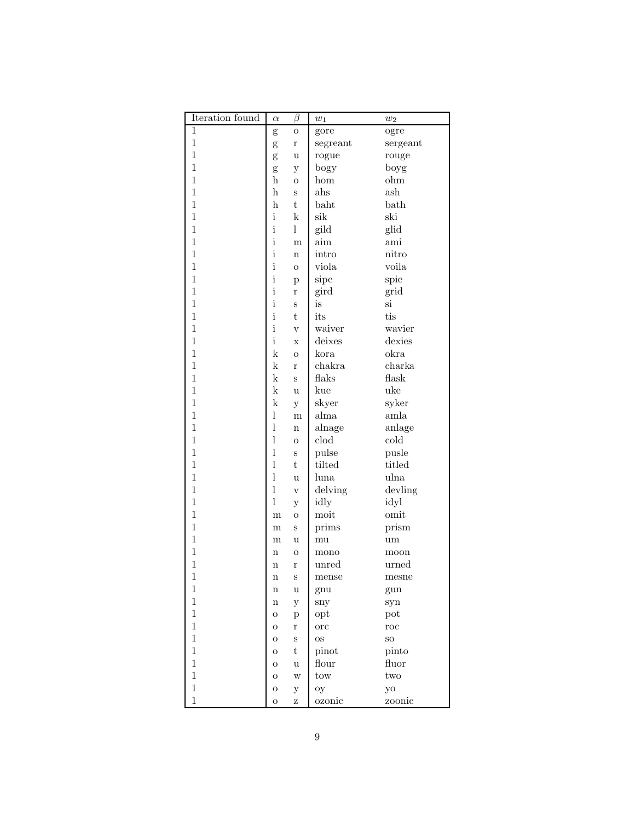| Iteration found | $\alpha$     | $\beta$                 | $w_1$           | $w_2$        |
|-----------------|--------------|-------------------------|-----------------|--------------|
| 1               | g            | O                       | gore            | ogre         |
| $\mathbf 1$     | g            | r                       | segreant        | sergeant     |
| $\mathbf 1$     | g            | u                       | rogue           | rouge        |
| $\mathbf 1$     | g            | у                       | bogy            | boyg         |
| $\mathbf 1$     | h            | $\overline{O}$          | hom             | ohm          |
| $\mathbf{1}$    | h            | S                       | $_{\rm abs}$    | ash          |
| $\mathbf 1$     | h            | $\mathbf t$             | $b$ aht         | bath         |
| $\mathbf{1}$    | $\mathbf{i}$ | k                       | sik             | ski          |
| $\mathbf{1}$    | $\mathbf{i}$ | 1                       | gild            | glid         |
| $\mathbf{1}$    | $\mathbf{i}$ | m                       | $\dim$          | ami          |
| $\mathbf{1}$    | $\mathbf{i}$ | $\mathbf n$             | intro           | nitro        |
| $\mathbf{1}$    | $\mathbf{i}$ | $\overline{O}$          | viola           | voila        |
| $\mathbf{1}$    | $\mathbf{i}$ | p                       | sipe            | spie         |
| $\mathbf{1}$    | $\mathbf{i}$ | r                       | gird            | grid         |
| $\mathbf{1}$    | $\mathbf{i}$ | S                       | is              | si           |
| $\mathbf{1}$    | $\mathbf{i}$ | t                       | its             | tis          |
| $\mathbf{1}$    | $\mathbf{i}$ | $\overline{\mathbf{V}}$ | waiver          | wavier       |
| $\mathbf{1}$    | $\mathbf{i}$ | $\mathbf x$             | deixes          | dexies       |
| $\mathbf{1}$    | $\mathbf k$  | $\overline{O}$          | kora            | okra         |
| $\mathbf{1}$    | $\mathbf k$  | r                       | chakra          | charka       |
| $\mathbf{1}$    | $\mathbf k$  | S                       | flaks           | flask        |
| $\mathbf{1}$    | $\mathbf k$  | u                       | kue             | uke          |
| $\mathbf{1}$    | $\mathbf k$  | y                       | skyer           | syker        |
| $\mathbf{1}$    | $\mathbf{l}$ | m                       | alma            | amla         |
| $\mathbf{1}$    | $\mathbf{l}$ | $\mathbf n$             | alnage          | anlage       |
| $\mathbf{1}$    | $\mathbf{l}$ | $\overline{O}$          | $_{\rm{cloud}}$ | cold         |
| $\mathbf{1}$    | $\mathbf{l}$ | S                       | pulse           | pusle        |
| $\mathbf{1}$    | $\mathbf{l}$ | t                       | tilted          | titled       |
| $\mathbf{1}$    | $\mathbf{l}$ | u                       | luna            | ulna         |
| $\mathbf{1}$    | $\mathbf{l}$ | $\bar{V}$               | delving         | devling      |
| $\mathbf{1}$    | 1            | у                       | idly            | idyl         |
| $\mathbf{1}$    | m            | O                       | moit            | omit         |
| $\mathbf 1$     | m            | S                       | prims           | prism        |
| $\mathbf 1$     | m            | u                       | mu              | um           |
| $\mathbf 1$     | n            | O                       | mono            | moon         |
| $\mathbf{1}$    | $\mathbf n$  | r                       | unred           | urned        |
| $\mathbf{1}$    | $\mathbf n$  | S                       | mense           | mesne        |
| $\,1$           | $\mathbf n$  | u                       | gnu             | gun          |
| $\,1$           | $\bf n$      | $\mathbf{y}$            | sny             | syn          |
| $\,1$           | $\mathbf O$  | $\, {\bf p}$            | opt             | pot          |
| $\mathbf{1}$    | $\mathbf O$  | $\bf r$                 | $_{\rm{orc}}$   | $_{\rm roc}$ |
| $\mathbf{1}$    | $\mathbf O$  | S                       | <b>OS</b>       | ${\rm SO}$   |
| $\mathbf{1}$    | $\mathbf O$  | $\rm t$                 | pinot           | pinto        |
| $\mathbf{1}$    | $\mathbf O$  | u                       | flour           | fluor        |
| $\mathbf{1}$    | $\mathbf O$  | W                       | $t$ ow          | two          |
| $\mathbf{1}$    | $\mathbf O$  | $\mathbf{y}$            | $O_{y}$         | yo           |
| $\mathbf{1}$    | О            | Ζ                       | ozonic          | zoonic       |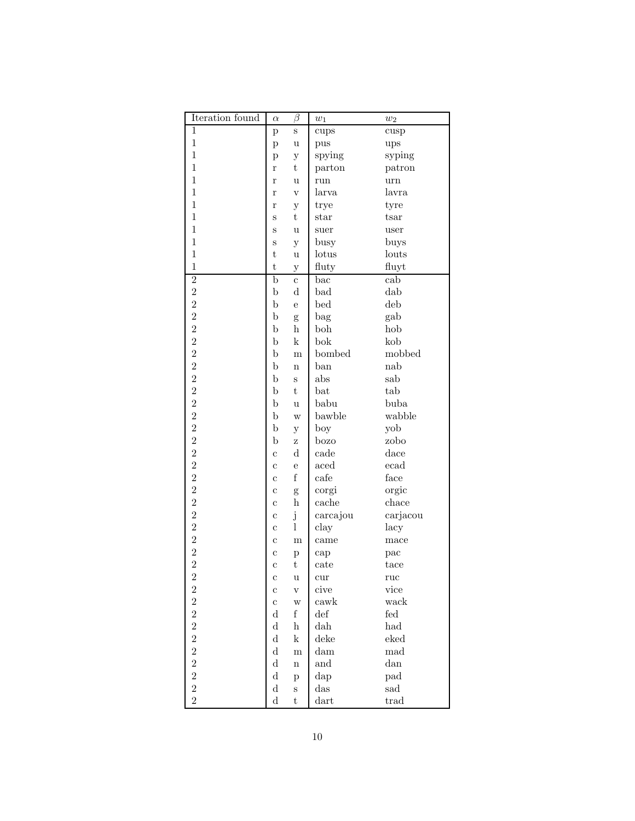| Iteration found         | $\alpha$     | $\beta$                   | $\boldsymbol{w}_1$ | $\boldsymbol{w}_2$   |
|-------------------------|--------------|---------------------------|--------------------|----------------------|
| $\mathbf{1}$            | $\mathbf{p}$ | S                         | cups               | cusp                 |
| $\mathbf{1}$            | $\mathbf{p}$ | u                         | pus                | ups                  |
| $\mathbf{1}$            | p            | $\mathbf y$               | spying             | syping               |
| $\mathbf{1}$            | $\bf r$      | t                         | parton             | patron               |
| $\mathbf{1}$            | $\bf r$      | u                         | run                | $_{\rm urn}$         |
| $\mathbf{1}$            | $\bf r$      | $\bar{V}$                 | larva              | lavra                |
| $\mathbf{1}$            | r            | у                         | trye               | tyre                 |
| $\mathbf 1$             | S            | t                         | $_{\rm star}$      | tsar                 |
| 1                       | S            | u                         | suer               | user                 |
| $\mathbf{1}$            | S            | y                         | busy               | buys                 |
| $\mathbf{1}$            | t            | u                         | lotus              | louts                |
| $\mathbf{1}$            | $\rm t$      |                           |                    |                      |
|                         | $\mathbf b$  | $\mathbf y$               | fluty              | fluyt<br>cab         |
| $\overline{2}$          |              | $\overline{c}$            | $_{\rm bac}$       |                      |
| $\overline{\mathbf{c}}$ | $\mathbf b$  | $\mathbf d$               | bad                | dab                  |
| $\overline{2}$          | $\mathbf b$  | e                         | bed                | deb                  |
| $\overline{2}$          | $\mathbf b$  | g                         | bag                | gab                  |
| $\overline{2}$          | $\mathbf b$  | $\boldsymbol{\mathrm{h}}$ | boh                | hob                  |
| $\overline{2}$          | $\mathbf b$  | $\mathbf k$               | bok                | kob                  |
| $\overline{2}$          | $\mathbf b$  | m                         | bombed             | mobbed               |
| $\overline{2}$          | $\mathbf b$  | $\mathbf n$               | ban                | nab                  |
| $\overline{2}$          | $\mathbf b$  | S                         | abs                | sab                  |
| $\overline{2}$          | $\mathbf b$  | $\rm t$                   | bat                | tab                  |
| $\overline{2}$          | $\mathbf b$  | u                         | babu               | buba                 |
| $\overline{2}$          | $\mathbf b$  | W                         | bawble             | wabble               |
| $\overline{c}$          | $\mathbf b$  | у                         | boy                | yob                  |
| $\overline{2}$          | $\mathbf b$  | Ζ                         | bozo               | zobo                 |
| $\overline{2}$          | $\mathbf c$  | $\mathbf d$               | cade               | dace                 |
| $\overline{2}$          | $\mathbf c$  | е                         | aced               | ecad                 |
| $\overline{2}$          | $\mathbf c$  | $\rm f$                   | cafe               | face                 |
| $\overline{2}$          | $\mathbf c$  | g                         | corgi              | orgic                |
| $\overline{2}$          | $\mathbf c$  | $\bold{h}$                | cache              | chace                |
| $\overline{2}$          | $\mathbf c$  | j                         | carcajou           | carjacou             |
| $\overline{2}$          | C            | $\mathbf{l}$              | clay               | lacy                 |
| $\overline{2}$          | C            | m                         | came               | mace                 |
| $\overline{2}$          | C            | p                         | cap                | pac                  |
| $\overline{2}$          | C            | t                         | cate               | tace                 |
| $\overline{c}$          | с            | u                         | cur                | $^{\text{ruc}}$      |
| $\overline{2}$          | $\mathbf c$  | $\rm V$                   | cive               | vice                 |
| $\overline{2}$          | $\mathbf c$  | W                         | cawk               | wack                 |
| $\overline{2}$          | $\rm d$      | $\rm f$                   | $\det$             | $\operatorname{fed}$ |
| $\overline{2}$          | $\mathbf d$  | $\bold{h}$                | dah                | had                  |
| $\overline{2}$          | $\mathbf d$  | $\mathbf k$               | deke               | eked                 |
| $\overline{2}$          | $\mathbf d$  | $_{\rm m}$                | dam                | mad                  |
|                         | $\mathbf d$  | $\bf n$                   | and                | $d$ an               |
| $\frac{2}{2}$           | $\mathbf d$  |                           | dap                | pad                  |
| $\overline{2}$          | $\mathbf d$  | $\mathbf{p}$              | das                | sad                  |
| $\overline{2}$          |              | $\rm S$                   |                    |                      |
|                         | $\mathbf d$  | $\rm t$                   | dart               | trad                 |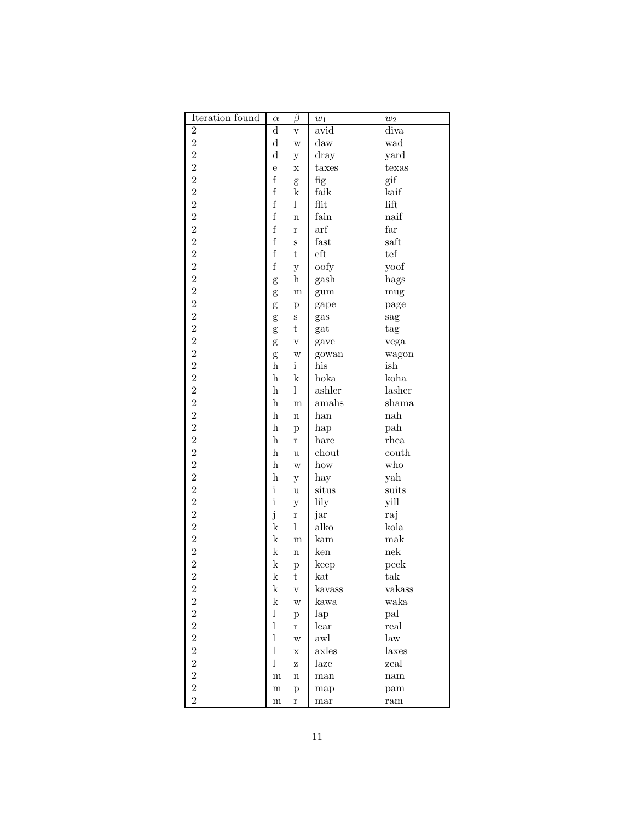| Iteration found                  | $\alpha$                  | $\beta$                   | $w_1$                | $w_2$                   |
|----------------------------------|---------------------------|---------------------------|----------------------|-------------------------|
| $\overline{2}$                   | $\mathbf d$               | $\mathbf V$               | avid                 | diva                    |
| $\overline{2}$                   | $\rm d$                   | W                         | $_{\rm{daw}}$        | wad                     |
| $\overline{2}$                   | $\mathbf d$               | у                         | $_{\rm{dry}}$        | yard                    |
| $\overline{2}$                   | e                         | Х                         | taxes                | texas                   |
| $\overline{2}$                   | $\mathbf f$               | g                         | fig                  | gif                     |
| $\overline{2}$                   | $\mathbf f$               | k                         | faik                 | kaif                    |
| $\overline{2}$                   | $\rm f$                   | 1                         | flit                 | lift                    |
| $\overline{2}$                   | $\rm f$                   | $\mathbf n$               | fain                 | $n$ aif                 |
| $\overline{2}$                   | $\rm f$                   | $\bf r$                   | $\operatorname{arf}$ | far                     |
| $\overline{2}$                   | $\rm f$                   | S                         | fast                 | saft                    |
| $\overline{2}$                   | $\rm f$                   | $\rm t$                   | $_{\rm eft}$         | tef                     |
| $\overline{2}$                   | $\rm f$                   | $\mathbf{y}$              | oofy                 | yoof                    |
| $\overline{2}$                   | g                         | $\boldsymbol{\mathrm{h}}$ | gash                 | hags                    |
|                                  | g                         | m                         | gum                  | mug                     |
|                                  | g                         | p                         | gape                 | page                    |
|                                  | g                         | S                         | gas                  | sag                     |
| 2 2 2 2 2 2 2 2 2 2 2            | g                         | $\rm t$                   | gat                  | tag                     |
|                                  | g                         | $\mathbf{V}$              | gave                 | vega                    |
|                                  |                           | W                         | gowan                | wagon                   |
|                                  | g<br>$\bold{h}$           | i                         | his                  | ish                     |
|                                  | $\bold{h}$                | $\mathbf k$               | hoka                 | koha                    |
|                                  | $\boldsymbol{\mathrm{h}}$ | 1                         | ashler               | lasher                  |
|                                  | $\boldsymbol{\mathrm{h}}$ | m                         | amahs                | shama                   |
|                                  | $\mathbf h$               | $\mathbf n$               | han                  | nah                     |
| $\overline{2}$                   | $\mathbf h$               |                           | hap                  | $\mathop{\mathrm{pah}}$ |
| $\overline{2}$                   | $\mathbf h$               | $\mathbf{p}$<br>r         | hare                 | rhea                    |
| $\overline{2}$                   | $\mathbf h$               |                           | chout                | $\hbox{couth}$          |
| $\overline{2}$                   | $\mathbf h$               | u                         | how                  | who                     |
| $\overline{2}$                   | $\mathbf h$               | W                         |                      |                         |
| $\overline{2}$                   | $\mathbf{i}$              | у                         | hay                  | yah                     |
|                                  | $\mathbf{i}$              | u                         | situs                | suits                   |
| $\overline{2}$                   |                           | у                         | lily                 | yill                    |
| $\overline{2}$<br>$\overline{2}$ | j                         | $\bf r$<br>$\mathbf{l}$   | jar<br>alko          | raj                     |
|                                  | $\mathbf k$               |                           |                      | kola                    |
| $\overline{2}$                   | $\mathbf k$               | $\mathbf{m}$              | kam                  | mak                     |
| $\overline{2}$<br>$\overline{2}$ | $\mathbf k$               | $\mathbf n$               | ken                  | nek                     |
|                                  | k                         | $\mathbf{p}$              | keep                 | peek                    |
| $\overline{2}$                   | k                         | t                         | kat                  | $\text{tak}$            |
| $\overline{2}$                   | k                         | $\rm V$                   | kavass               | vakass                  |
| $\overline{2}$                   | $\mathbf k$               | W                         | kawa                 | waka                    |
| $\overline{2}$                   | $\mathbf{l}$              | $\, {\bf p}$              | lap                  | pal                     |
| $\overline{2}$                   | $\mathbf{l}$              | $\mathbf r$               | lear                 | real                    |
| $\frac{2}{2}$                    | $\mathbf{l}$              | W                         | awl                  | law                     |
|                                  | $\mathbf{l}$              | $\mathbf X$               | axles                | laxes                   |
| $\overline{2}$                   | $\mathbf{l}$              | Ζ                         | laze                 | zeal                    |
| $\overline{2}$                   | $_{\rm m}$                | $\bf n$                   | man                  | nam                     |
| $\overline{2}$                   | $_{\rm m}$                | $\, {\bf p}$              | map                  | pam                     |
| $\overline{2}$                   | $_{\rm m}$                | $\bf r$                   | mar                  | ram                     |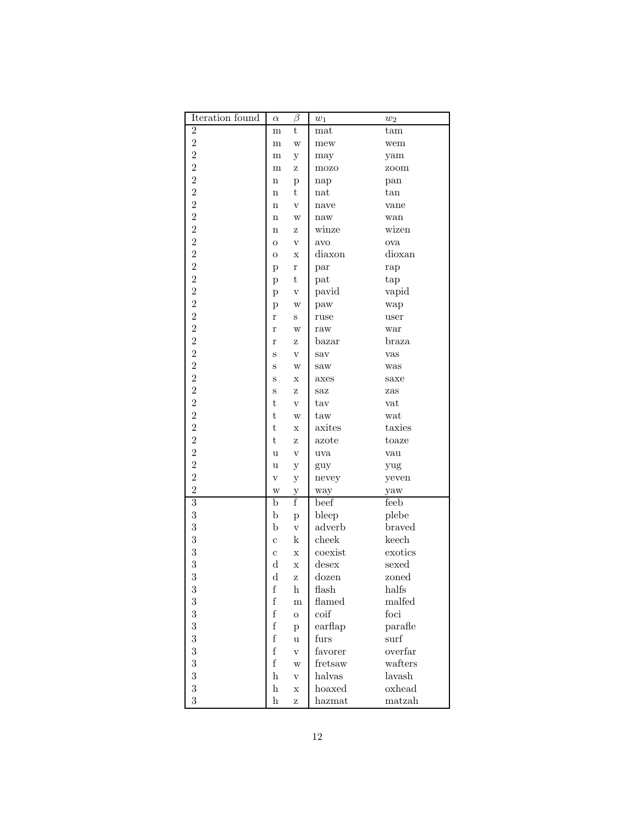| Iteration found  | $\alpha$                   | $\beta$                        | $\boldsymbol{w}_1$ | $w_2$           |
|------------------|----------------------------|--------------------------------|--------------------|-----------------|
| $\boldsymbol{2}$ | m                          | t                              | $_{\rm mat}$       | $\tan$          |
| $\overline{2}$   | m                          | W                              | mew                | wem             |
| $\overline{2}$   | m                          | у                              | may                | yam             |
| $\overline{2}$   | m                          | Ζ                              | mozo               | zoom            |
| $\overline{2}$   | n                          | $\mathbf{p}$                   | nap                | pan             |
| $\overline{2}$   | n                          | t                              | $_{\rm nat}$       | tan             |
| $\overline{2}$   | $\mathbf n$                | $\overline{\mathbf{V}}$        | nave               | vane            |
| $\overline{2}$   | $\mathbf n$                | W                              | naw                | wan             |
| $\overline{2}$   | $\mathbf n$                | Ζ                              | winze              | wizen           |
| $\overline{2}$   | $\mathbf O$                | $\bar{V}$                      | avo                | ova             |
| $\overline{2}$   | $\mathbf O$                | $\mathbf X$                    | diaxon             | dioxan          |
| $\overline{2}$   | p                          | $\bf r$                        | par                | rap             |
| $\overline{2}$   | p                          | t                              | pat                | tap             |
| $\overline{2}$   | p                          | $\bar{V}$                      | pavid              | vapid           |
| $\overline{2}$   | p                          | W                              | paw                | wap             |
| $\overline{2}$   | r                          | S                              | ruse               | user            |
| $\overline{2}$   | r                          | W                              | raw                | war             |
| $\overline{2}$   | r                          | Ζ                              | bazar              | braza           |
| $\overline{2}$   | S                          | $\mathbf V$                    | sav                | vas             |
| $\overline{2}$   | S                          | W                              | saw                | was             |
| $\overline{2}$   | S                          | X                              | axes               | saxe            |
| $\overline{2}$   | S                          | Ζ                              | saz                | zas             |
| $\overline{2}$   | t                          | $\bar{V}$                      | tav                | vat             |
| $\overline{2}$   | t                          | W                              | taw                | wat             |
| $\overline{2}$   | t                          | $\mathbf x$                    | axites             | taxies          |
| $\overline{2}$   | t                          | Ζ                              | azote              | toaze           |
| $\overline{2}$   | u                          | $\mathbf V$                    | uva                | vau             |
| $\overline{2}$   | u                          |                                |                    |                 |
| $\overline{2}$   | $\rm{V}$                   | $\mathbf{y}$                   | guy<br>nevey       | yug<br>yeven    |
| $\overline{2}$   | W                          | у                              |                    |                 |
| $\overline{3}$   | b                          | у<br>f                         | way<br>beef        | yaw<br>feeb     |
| 3                | $\mathbf b$                |                                | bleep              | plebe           |
| 3                | $\mathbf b$                | $\mathbf{p}$<br>$\mathbf V$    | adverb             | braved          |
| 3                |                            | k                              | cheek              | keech           |
| 3                | $\mathbf c$                |                                | coexist            | exotics         |
| 3                | $\mathbf c$<br>$\mathbf d$ | X                              | desex              |                 |
| 3                | $\rm d$                    | $\mathbf x$                    | $_{\rm dozen}$     | sexed           |
| 3                | $\mathbf f$                | z<br>$\boldsymbol{\mathrm{h}}$ | flash              | zoned<br>halfs  |
| 3                | $\mathbf f$                |                                | flamed             | malfed          |
| 3                | $\mathbf f$                | m                              | coif               | foci            |
| 3                | $\mathbf f$                | $\mathbf O$                    |                    |                 |
| 3                | $\mathbf f$                | $\, {\bf p}$                   | earflap            | parafle<br>surf |
| 3                | $\rm f$                    | $\mathbf u$                    | furs               |                 |
| 3                | $\rm f$                    | $\mathbf v$                    | favorer            | overfar         |
| 3                |                            | W                              | fretsaw            | wafters         |
|                  | $\,$ h                     | $\rm V$                        | halvas             | lavash          |
| 3                | $\,$ h                     | $\mathbf x$                    | hoaxed             | oxhead          |
| 3                | $\boldsymbol{\mathrm{h}}$  | $\rm{Z}$                       | hazmat             | matzah          |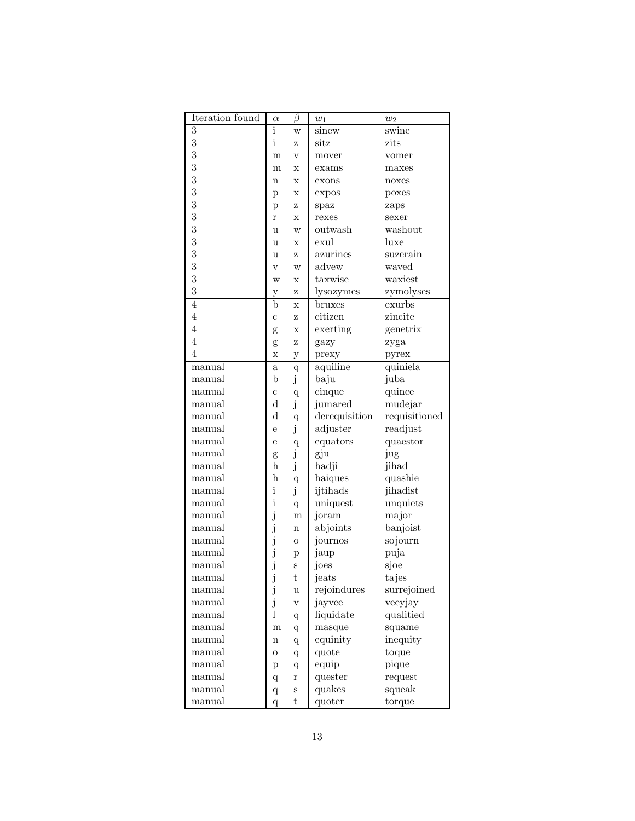| Iteration found | $\alpha$                | $\beta$                   | $w_1$         | $w_2$                      |
|-----------------|-------------------------|---------------------------|---------------|----------------------------|
| 3               | i                       | W                         | sinew         | swine                      |
| 3               | i                       | Z                         | sitz          | zits                       |
| 3               | m                       | $\overline{\mathbf{V}}$   | mover         | vomer                      |
| 3               | m                       | Х                         | exams         | maxes                      |
| 3               | n                       | X                         | exons         | noxes                      |
| 3               | р                       | X                         | expos         | poxes                      |
| 3               | р                       | z                         | spaz          | zaps                       |
| 3               | r                       | X                         | rexes         | sexer                      |
| 3               | u                       | W                         | outwash       | washout                    |
| 3               | u                       | X                         | exul          | luxe                       |
| 3               | u                       | z                         | azurines      | suzerain                   |
| 3               | $\overline{\mathrm{V}}$ | W                         | advew         | waved                      |
| 3               | W                       | X                         | taxwise       | waxiest                    |
| 3               | у                       | z                         | lysozymes     | zymolyses                  |
| $\overline{4}$  | b                       | $\mathbf x$               | bruxes        | $\overline{\text{exurbs}}$ |
| $\overline{4}$  | $\overline{c}$          | Z                         | citizen       | zincite                    |
| 4               | g                       | X                         | exerting      | genetrix                   |
| $\overline{4}$  | g                       | Ζ                         | gazy          | zyga                       |
| 4               | X                       | $\mathbf{y}$              | prexy         | pyrex                      |
| manual          | a                       | $\mathbf q$               | aquiline      | quiniela                   |
| manual          | b                       | j                         | baju          | juba                       |
| manual          | $\mathbf c$             | $\overline{q}$            | cinque        | quince                     |
| manual          | $_{\rm d}$              | j                         | jumared       | mudejar                    |
| manual          | $_{\rm d}$              | $\overline{q}$            | derequisition | requisitioned              |
| manual          | e                       | j                         | adjuster      | readjust                   |
| manual          | e                       | $\overline{q}$            | equators      | quaestor                   |
| manual          | g                       | j                         | gju           | jug                        |
| manual          | h                       | j                         | hadji         | jihad                      |
| manual          | h                       | $\mathbf q$               | haiques       | quashie                    |
| manual          | $\mathbf{i}$            | j                         | ijtihads      | jihadist                   |
| manual          | $\mathbf{i}$            | $\overline{q}$            | uniquest      | unquiets                   |
| manual          | $\mathbf{j}$            | m                         | joram         | major                      |
| manual          | $\mathbf{j}$            | $\mathbf n$               | abjoints      | banjoist                   |
| manual          | $\mathbf{j}$            | $\mathbf O$               | journos       | sojourn                    |
| manual          | $\mathbf{j}$            | р                         | jaup          | puja                       |
| manual          | j                       | S                         | joes          | sjoe                       |
| manual          | J                       | t                         | jeats         | tajes                      |
| manual          | $\mathbf{j}$            | u                         | rejoindures   | surrejoined                |
| manual          | j                       | $\ensuremath{\mathbf{V}}$ | jayvee        | veeyjay                    |
| manual          | 1                       | q                         | liquidate     | qualitied                  |
| manual          | m                       | $\mathbf q$               | masque        | squame                     |
| manual          | n                       | $\mathbf q$               | equinity      | inequity                   |
| manual          | О                       | $\mathbf q$               | quote         | toque                      |
| manual          | p                       | q                         | equip         | pique                      |
| manual          | $\boldsymbol{q}$        | $\bf r$                   | quester       | request                    |
| manual          | $\boldsymbol{q}$        | S                         | quakes        | squeak                     |
| manual          | $\overline{q}$          | t                         | quoter        | torque                     |